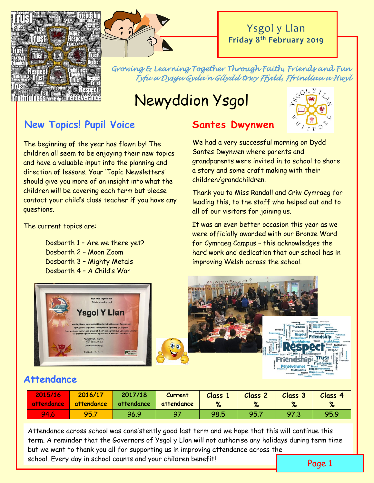



### Ysgol y Llan **Friday 8th February 2019**

*Growing & Learning Together Through Faith, Friends and Fun Tyfu a Dysgu Gyda'n Gilydd trwy Ffydd, Ffrindiau a Hwyl* 

# Newyddion Ysgol

### **New Topics! Pupil Voice**

The beginning of the year has flown by! The children all seem to be enjoying their new topics and have a valuable input into the planning and direction of lessons. Your 'Topic Newsletters' should give you more of an insight into what the children will be covering each term but please contact your child's class teacher if you have any questions.

The current topics are:

Dosbarth 1 – Are we there yet? Dosbarth 2 – Moon Zoom Dosbarth 3 – Mighty Metals Dosbarth 4 – A Child's War



### **Santes Dwynwen**

We had a very successful morning on Dydd Santes Dwynwen where parents and grandparents were invited in to school to share a story and some craft making with their children/grandchildren.

Thank you to Miss Randall and Criw Cymraeg for leading this, to the staff who helped out and to all of our visitors for joining us.

It was an even better occasion this year as we were officially awarded with our Bronze Ward for Cymraeg Campus – this acknowledges the hard work and dedication that our school has in improving Welsh across the school.





### **Attendance**

| 2015/16<br>  attendance | 2016/17<br>attendance | 2017/18<br>attendance | Current<br>attendance | <b>Class</b><br>$\mathbf{v}$<br>$\sqrt{2}$ | Class 2 | Class 3 | Class <sub>4</sub><br>% |
|-------------------------|-----------------------|-----------------------|-----------------------|--------------------------------------------|---------|---------|-------------------------|
| 94.6                    | 95.1                  | 96.9                  | 07                    | 98.5                                       | 95.1    | 97.3    | 95.9                    |

Attendance across school was consistently good last term and we hope that this will continue this term. A reminder that the Governors of Ysgol y Llan will not authorise any holidays during term time but we want to thank you all for supporting us in improving attendance across the school. Every day in school counts and your children benefit! Page 1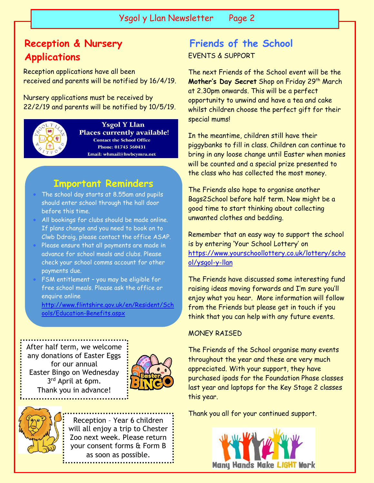### **Reception & Nursery Applications**

Reception applications have all been received and parents will be notified by 16/4/19.

Nursery applications must be received by 22/2/19 and parents will be notified by 10/5/19.



 $\overline{\phantom{a}}$ 

**Ysgol Y Llan Places currently available! Contact the School Office** Phone: 01745 560431 Email: whmail@hwbcymru.net

### **Important Reminders**

- The school day starts at 8.55am and pupils should enter school through the hall door before this time.
- All bookings for clubs should be made online. If plans change and you need to book on to Clwb Ddraig, please contact the office ASAP.
- Please ensure that all payments are made in advance for school meals and clubs. Please check your school comms account for other payments due.
- FSM entitlement you may be eligible for free school meals. Please ask the office or enquire online

[http://www.flintshire.gov.uk/en/Resident/Sch](http://www.flintshire.gov.uk/en/Resident/Schools/Education-Benefits.aspx) [ools/Education-Benefits.aspx](http://www.flintshire.gov.uk/en/Resident/Schools/Education-Benefits.aspx)

After half term, we welcome any donations of Easter Eggs for our annual Easter Bingo on Wednesday 3<sup>rd</sup> April at 6pm. Thank you in advance!





### EVENTS & SUPPORT **Friends of the School**

The next Friends of the School event will be the **Mother's Day Secret** Shop on Friday 29th March at 2.30pm onwards. This will be a perfect opportunity to unwind and have a tea and cake whilst children choose the perfect gift for their special mums!

In the meantime, children still have their piggybanks to fill in class. Children can continue to bring in any loose change until Easter when monies will be counted and a special prize presented to the class who has collected the most money.

The Friends also hope to organise another Bags2School before half term. Now might be a good time to start thinking about collecting unwanted clothes and bedding.

Remember that an easy way to support the school is by entering 'Your School Lottery' on [https://www.yourschoollottery.co.uk/lottery/scho](https://www.yourschoollottery.co.uk/lottery/school/ysgol-y-llan) [ol/ysgol-y-llan](https://www.yourschoollottery.co.uk/lottery/school/ysgol-y-llan)

The Friends have discussed some interesting fund raising ideas moving forwards and I'm sure you'll enjoy what you hear. More information will follow from the Friends but please get in touch if you think that you can help with any future events.

#### MONEY RAISED

The Friends of the School organise many events throughout the year and these are very much appreciated. With your support, they have purchased ipads for the Foundation Phase classes last year and laptops for the Key Stage 2 classes this year.

Thank you all for your continued support.

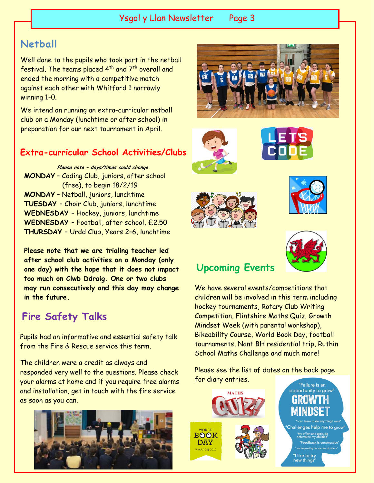### Ysgol y Llan Newsletter Page 3

### **Netball**

Well done to the pupils who took part in the netball festival. The teams placed  $4<sup>th</sup>$  and  $7<sup>th</sup>$  overall and ended the morning with a competitive match against each other with Whitford 1 narrowly winning 1-0.

We intend on running an extra-curricular netball club on a Monday (lunchtime or after school) in preparation for our next tournament in April.

#### **Extra-curricular School Activities/Clubs**

**Please note – days/times could change MONDAY** – Coding Club, juniors, after school (free), to begin 18/2/19 **MONDAY** – Netball, juniors, lunchtime **TUESDAY** – Choir Club, juniors, lunchtime **WEDNESDAY** – Hockey, juniors, lunchtime **WEDNESDAY** – Football, after school, £2.50 **THURSDAY** – Urdd Club, Years 2–6, lunchtime

**Please note that we are trialing teacher led after school club activities on a Monday (only one day) with the hope that it does not impact too much on Clwb Ddraig. One or two clubs may run consecutively and this day may change in the future.**

### **Fire Safety Talks**

Pupils had an informative and essential safety talk from the Fire & Rescue service this term.

The children were a credit as always and responded very well to the questions. Please check your alarms at home and if you require free alarms and installation, get in touch with the fire service as soon as you can.













## **Upcoming Events**

We have several events/competitions that children will be involved in this term including hockey tournaments, Rotary Club Writing Competition, Flintshire Maths Quiz, Growth Mindset Week (with parental workshop), Bikeability Course, World Book Day, football tournaments, Nant BH residential trip, Ruthin School Maths Challenge and much more!

Please see the list of dates on the back page for diary entries.

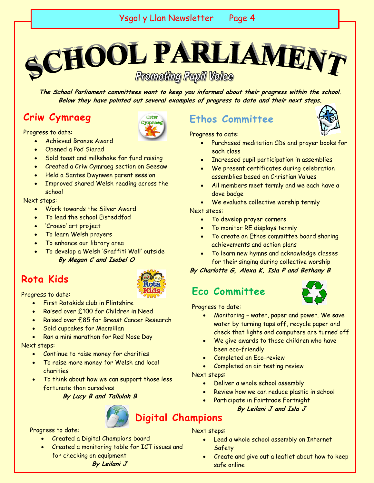**SCHOOL PARLIAMENT Promoting Pupil Voice** 

**The School Parliament committees want to keep you informed about their progress within the school. Below they have pointed out several examples of progress to date and their next steps.**

### **Criw Cymraeg**

Progress to date:

- Achieved Bronze Award
- Opened a Pod Siarad
- Sold toast and milkshake for fund raising
- Created a Criw Cymraeg section on Seesaw
- Held a Santes Dwynwen parent session
- Improved shared Welsh reading across the school

#### Next steps:

- Work towards the Silver Award
- To lead the school Eisteddfod
- 'Croeso' art project
- To learn Welsh prayers
- To enhance our library area
- To develop a Welsh 'Graffiti Wall' outside **By Megan C and Isobel O**

### **Rota Kids**

Criw **Forman** 

Progress to date:

- First Rotakids club in Flintshire
- Raised over £100 for Children in Need
- Raised over £85 for Breast Cancer Research
- Sold cupcakes for Macmillan
- Ran a mini marathon for Red Nose Day

#### Next steps:

- Continue to raise money for charities
- To raise more money for Welsh and local charities
- To think about how we can support those less fortunate than ourselves

**By Lucy B and Tallulah B**



Progress to date:

- Created a Digital Champions board
- Created a monitoring table for ICT issues and for checking on equipment

**By Leilani J**

### **Ethos Committee**



- Purchased meditation CDs and prayer books for each class
- Increased pupil participation in assemblies
- We present certificates during celebration assemblies based on Christian Values
- All members meet termly and we each have a dove badge
- We evaluate collective worship termly

Next steps:

- To develop prayer corners
- To monitor RE displays termly
- To create an Ethos committee board sharing achievements and action plans
- To learn new hymns and acknowledge classes for their singing during collective worship

#### **By Charlotte G, Alexa K, Isla P and Bethany B**

### **Eco Committee**



Progress to date:

- Monitoring water, paper and power. We save water by turning taps off, recycle paper and check that lights and computers are turned off
- We give awards to those children who have been eco-friendly
- Completed an Eco-review
- Completed an air testing review

#### Next steps:

- Deliver a whole school assembly
- Review how we can reduce plastic in school
- Participate in Fairtrade Fortnight

#### **By Leilani J and Isla J**

### **Digital Champions**

Next steps:

- Lead a whole school assembly on Internet Safety
- Create and give out a leaflet about how to keep safe online